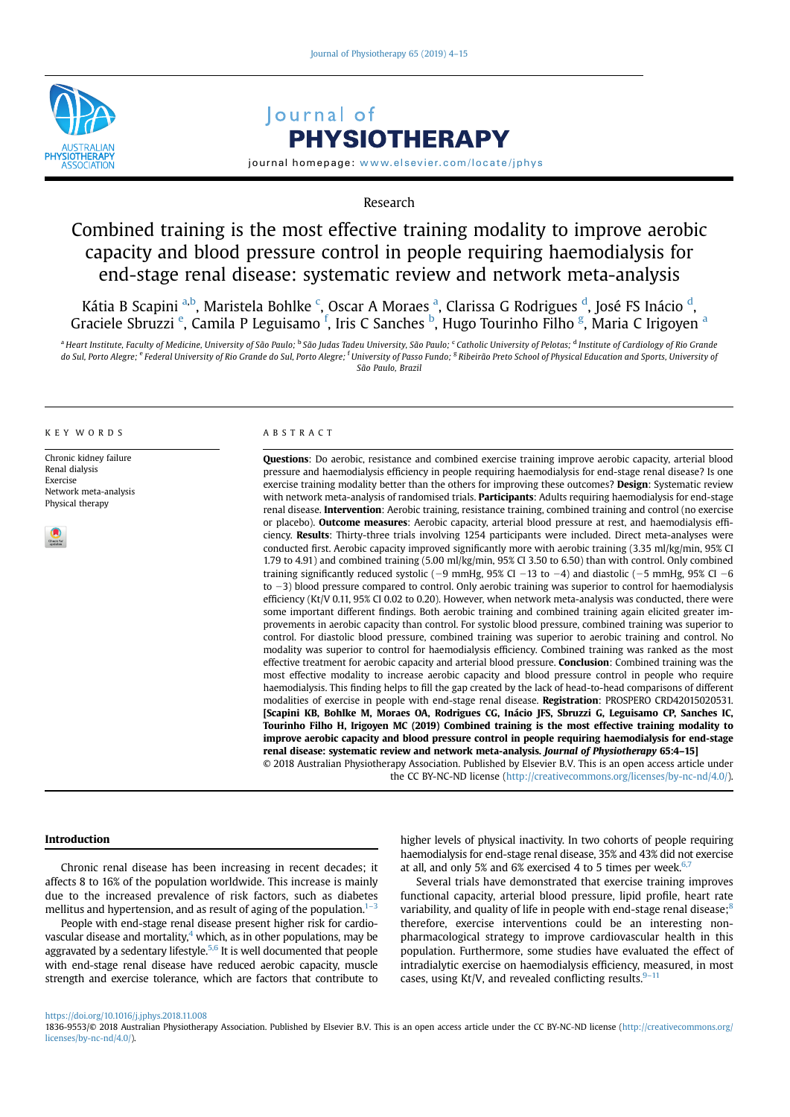

# Journal of **PHYSIOTHERAPY**

journal homepage: www.elsevier.com/locate/jphys

## Research

Combined training is the most effective training modality to improve aerobic capacity and blood pressure control in people requiring haemodialysis for end-stage renal disease: systematic review and network meta-analysis

Kátia B Scapini <sup>a,b</sup>, Maristela Bohlke <sup>c</sup>, Oscar A Moraes <sup>a</sup>, Clarissa G Rodrigues <sup>d</sup>, José FS Inácio <sup>d</sup>, Graciele Sbruzzi <sup>e</sup>, Camila P Leguisamo <sup>f</sup>, Iris C Sanches <sup>b</sup>, Hugo Tourinho Filho <sup>g</sup>, Maria C Irigoyen <sup>a</sup>

<sup>a</sup> Heart Institute, Faculty of Medicine, University of São Paulo; <sup>b</sup> São Judas Tadeu University, São Paulo; <sup>c</sup> Catholic University of Pelotas; <sup>d</sup> Institute of Cardiology of Rio Grande do Sul, Porto Alegre; <sup>e</sup> Federal University of Rio Grande do Sul, Porto Alegre; <sup>f</sup> University of Passo Fundo; <sup>g</sup> Ribeirão Preto School of Physical Education and Sports, University o<sub>j</sub> São Paulo, Brazil

## KEY WORDS

Chronic kidney failure Renal dialysis Exercise Network meta-analysis Physical therapy



## ABSTRACT

**Questions:** Do aerobic, resistance and combined exercise training improve aerobic capacity, arterial blood pressure and haemodialysis efficiency in people requiring haemodialysis for end-stage renal disease? Is one exercise training modality better than the others for improving these outcomes? Design: Systematic review with network meta-analysis of randomised trials. Participants: Adults requiring haemodialysis for end-stage renal disease. Intervention: Aerobic training, resistance training, combined training and control (no exercise or placebo). Outcome measures: Aerobic capacity, arterial blood pressure at rest, and haemodialysis efficiency. Results: Thirty-three trials involving 1254 participants were included. Direct meta-analyses were conducted first. Aerobic capacity improved significantly more with aerobic training (3.35 ml/kg/min, 95% CI 1.79 to 4.91) and combined training (5.00 ml/kg/min, 95% CI 3.50 to 6.50) than with control. Only combined training significantly reduced systolic ( $-9$  mmHg, 95% CI  $-13$  to  $-4$ ) and diastolic ( $-5$  mmHg, 95% CI  $-6$ to  $-3$ ) blood pressure compared to control. Only aerobic training was superior to control for haemodialysis efficiency (Kt/V 0.11, 95% CI 0.02 to 0.20). However, when network meta-analysis was conducted, there were some important different findings. Both aerobic training and combined training again elicited greater improvements in aerobic capacity than control. For systolic blood pressure, combined training was superior to control. For diastolic blood pressure, combined training was superior to aerobic training and control. No modality was superior to control for haemodialysis efficiency. Combined training was ranked as the most effective treatment for aerobic capacity and arterial blood pressure. **Conclusion**: Combined training was the most effective modality to increase aerobic capacity and blood pressure control in people who require haemodialysis. This finding helps to fill the gap created by the lack of head-to-head comparisons of different modalities of exercise in people with end-stage renal disease. **Registration:** PROSPERO CRD42015020531. [Scapini KB, Bohlke M, Moraes OA, Rodrigues CG, Inácio JFS, Sbruzzi G, Leguisamo CP, Sanches IC, Tourinho Filho H, Irigoyen MC (2019) Combined training is the most effective training modality to improve aerobic capacity and blood pressure control in people requiring haemodialysis for end-stage renal disease: systematic review and network meta-analysis. Journal of Physiotherapy 65:4–15] © 2018 Australian Physiotherapy Association. Published by Elsevier B.V. This is an open access article under

the CC BY-NC-ND license ([http://creativecommons.org/licenses/by-nc-nd/4.0/\)](http://creativecommons.org/licenses/by-nc-nd/4.0/).

## Introduction

Chronic renal disease has been increasing in recent decades; it affects 8 to 16% of the population worldwide. This increase is mainly due to the increased prevalence of risk factors, such as diabetes mellitus and hypertension, and as result of aging of the population.<sup>1–3</sup>

People with end-stage renal disease present higher risk for cardiovascular disease and mortality, $4$  which, as in other populations, may be aggravated by a sedentary lifestyle. $5,6$  It is well documented that people with end-stage renal disease have reduced aerobic capacity, muscle strength and exercise tolerance, which are factors that contribute to higher levels of physical inactivity. In two cohorts of people requiring haemodialysis for end-stage renal disease, 35% and 43% did not exercise at all, and only 5% and 6% exercised 4 to 5 times per week.<sup>[6,7](#page-10-0)</sup>

Several trials have demonstrated that exercise training improves functional capacity, arterial blood pressure, lipid profile, heart rate variability, and quality of life in people with end-stage renal disease:<sup>8</sup> therefore, exercise interventions could be an interesting nonpharmacological strategy to improve cardiovascular health in this population. Furthermore, some studies have evaluated the effect of intradialytic exercise on haemodialysis efficiency, measured, in most cases, using Kt/V, and revealed conflicting results. $9-11$  $9-11$ 

<sup>1836-9553/© 2018</sup> Australian Physiotherapy Association. Published by Elsevier B.V. This is an open access article under the CC BY-NC-ND license [\(http://creativecommons.org/](http://creativecommons.org/licenses/by-nc-nd/4.0/) [licenses/by-nc-nd/4.0/\).](http://creativecommons.org/licenses/by-nc-nd/4.0/)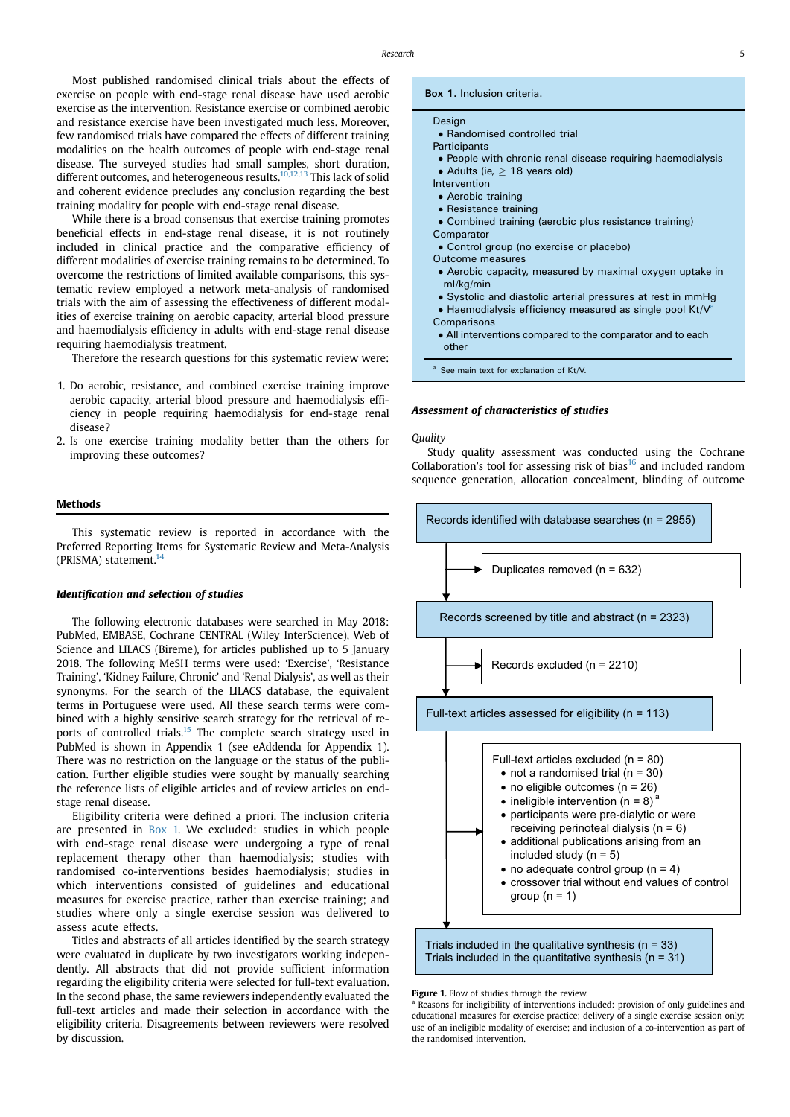<span id="page-1-0"></span>Most published randomised clinical trials about the effects of exercise on people with end-stage renal disease have used aerobic exercise as the intervention. Resistance exercise or combined aerobic and resistance exercise have been investigated much less. Moreover, few randomised trials have compared the effects of different training modalities on the health outcomes of people with end-stage renal disease. The surveyed studies had small samples, short duration, different outcomes, and heterogeneous results.<sup>10,12,13</sup> This lack of solid and coherent evidence precludes any conclusion regarding the best training modality for people with end-stage renal disease.

While there is a broad consensus that exercise training promotes beneficial effects in end-stage renal disease, it is not routinely included in clinical practice and the comparative efficiency of different modalities of exercise training remains to be determined. To overcome the restrictions of limited available comparisons, this systematic review employed a network meta-analysis of randomised trials with the aim of assessing the effectiveness of different modalities of exercise training on aerobic capacity, arterial blood pressure and haemodialysis efficiency in adults with end-stage renal disease requiring haemodialysis treatment.

Therefore the research questions for this systematic review were:

- 1. Do aerobic, resistance, and combined exercise training improve aerobic capacity, arterial blood pressure and haemodialysis efficiency in people requiring haemodialysis for end-stage renal disease?
- 2. Is one exercise training modality better than the others for improving these outcomes?

## Methods

This systematic review is reported in accordance with the Preferred Reporting Items for Systematic Review and Meta-Analysis (PRISMA) statement. $^{14}$  $^{14}$  $^{14}$ 

## Identification and selection of studies

The following electronic databases were searched in May 2018: PubMed, EMBASE, Cochrane CENTRAL (Wiley InterScience), Web of Science and LILACS (Bireme), for articles published up to 5 January 2018. The following MeSH terms were used: 'Exercise', 'Resistance Training', 'Kidney Failure, Chronic' and 'Renal Dialysis', as well as their synonyms. For the search of the LILACS database, the equivalent terms in Portuguese were used. All these search terms were combined with a highly sensitive search strategy for the retrieval of reports of controlled trials.<sup>15</sup> The complete search strategy used in PubMed is shown in Appendix 1 (see eAddenda for Appendix 1). There was no restriction on the language or the status of the publication. Further eligible studies were sought by manually searching the reference lists of eligible articles and of review articles on endstage renal disease.

Eligibility criteria were defined a priori. The inclusion criteria are presented in Box 1. We excluded: studies in which people with end-stage renal disease were undergoing a type of renal replacement therapy other than haemodialysis; studies with randomised co-interventions besides haemodialysis; studies in which interventions consisted of guidelines and educational measures for exercise practice, rather than exercise training; and studies where only a single exercise session was delivered to assess acute effects.

Titles and abstracts of all articles identified by the search strategy were evaluated in duplicate by two investigators working independently. All abstracts that did not provide sufficient information regarding the eligibility criteria were selected for full-text evaluation. In the second phase, the same reviewers independently evaluated the full-text articles and made their selection in accordance with the eligibility criteria. Disagreements between reviewers were resolved by discussion.

## Box 1. Inclusion criteria.

| Design<br>• Randomised controlled trial                                            |
|------------------------------------------------------------------------------------|
| Participants                                                                       |
| • People with chronic renal disease requiring haemodialysis                        |
| • Adults (ie, $> 18$ years old)                                                    |
| Intervention                                                                       |
| • Aerobic training                                                                 |
| • Resistance training                                                              |
| • Combined training (aerobic plus resistance training)                             |
| Comparator                                                                         |
| • Control group (no exercise or placebo)                                           |
| Outcome measures                                                                   |
| • Aerobic capacity, measured by maximal oxygen uptake in<br>ml/kg/min              |
| • Systolic and diastolic arterial pressures at rest in mmHg                        |
| • Haemodialysis efficiency measured as single pool $\text{Kt}/\text{V}^{\text{a}}$ |
| Comparisons                                                                        |
| • All interventions compared to the comparator and to each<br>other                |
| <sup>a</sup> See main text for explanation of Kt/V.                                |

## Assessment of characteristics of studies

#### Quality

Study quality assessment was conducted using the Cochrane Collaboration's tool for assessing risk of bias<sup>16</sup> and included random sequence generation, allocation concealment, blinding of outcome



Figure 1. Flow of studies through the review.

<sup>&</sup>lt;sup>a</sup> Reasons for ineligibility of interventions included: provision of only guidelines and educational measures for exercise practice; delivery of a single exercise session only; use of an ineligible modality of exercise; and inclusion of a co-intervention as part of the randomised intervention.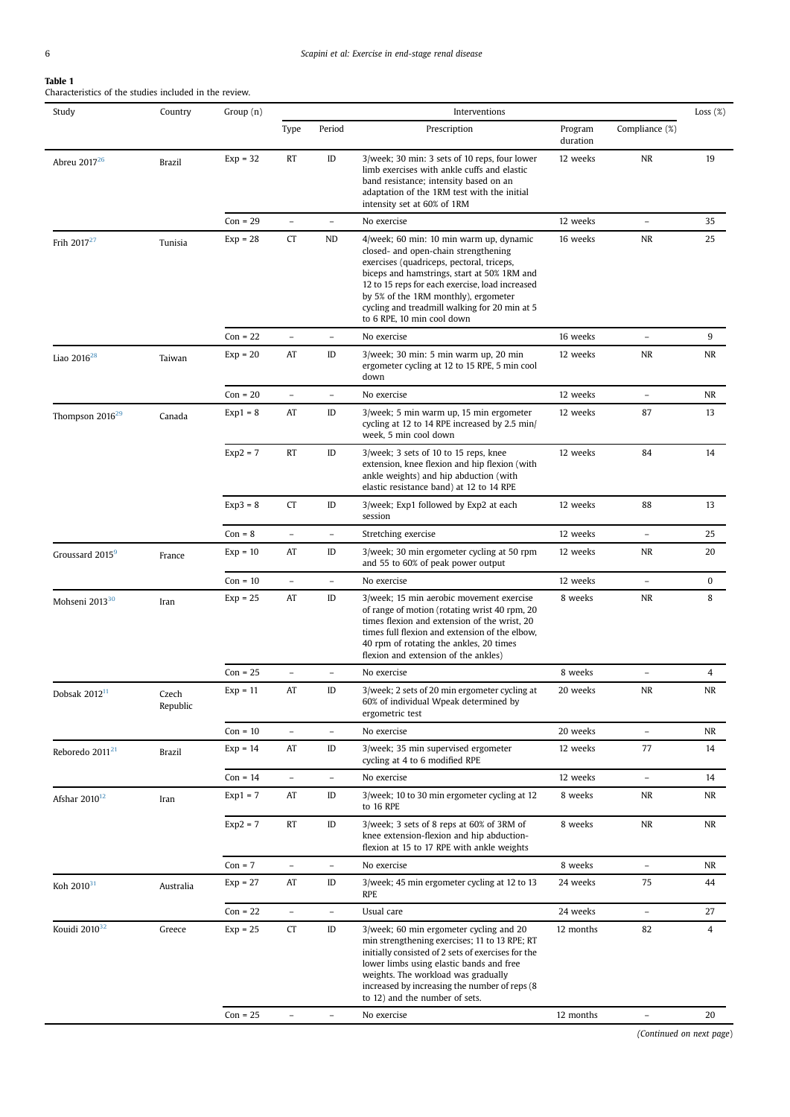## <span id="page-2-0"></span>Table 1 Characteristics of the studies included in the review.

| Study                       | Country           | Group(n)   | Interventions            |                          |                                                                                                                                                                                                                                                                                                                                                       |                     |                          | Loss $(\%)$ |
|-----------------------------|-------------------|------------|--------------------------|--------------------------|-------------------------------------------------------------------------------------------------------------------------------------------------------------------------------------------------------------------------------------------------------------------------------------------------------------------------------------------------------|---------------------|--------------------------|-------------|
|                             |                   |            | Type                     | Period                   | Prescription                                                                                                                                                                                                                                                                                                                                          | Program<br>duration | Compliance (%)           |             |
| Abreu 2017 <sup>26</sup>    | <b>Brazil</b>     | $Exp = 32$ | RT                       | ID                       | 3/week; 30 min: 3 sets of 10 reps, four lower<br>limb exercises with ankle cuffs and elastic<br>band resistance; intensity based on an<br>adaptation of the 1RM test with the initial<br>intensity set at 60% of 1RM                                                                                                                                  | 12 weeks            | NR                       | 19          |
|                             |                   | $Con = 29$ | $\equiv$                 | $\overline{\phantom{0}}$ | No exercise                                                                                                                                                                                                                                                                                                                                           | 12 weeks            | $\overline{\phantom{a}}$ | 35          |
| Frih 2017 <sup>27</sup>     | Tunisia           | $Exp = 28$ | CT                       | ND.                      | 4/week; 60 min: 10 min warm up, dynamic<br>closed- and open-chain strengthening<br>exercises (quadriceps, pectoral, triceps,<br>biceps and hamstrings, start at 50% 1RM and<br>12 to 15 reps for each exercise, load increased<br>by 5% of the 1RM monthly), ergometer<br>cycling and treadmill walking for 20 min at 5<br>to 6 RPE, 10 min cool down | 16 weeks            | NR                       | 25          |
|                             |                   | $Con = 22$ | $\overline{a}$           | $\equiv$                 | No exercise                                                                                                                                                                                                                                                                                                                                           | 16 weeks            | $\overline{a}$           | 9           |
| Liao 2016 <sup>28</sup>     | Taiwan            | $Exp = 20$ | AT                       | ID                       | 3/week; 30 min: 5 min warm up, 20 min<br>ergometer cycling at 12 to 15 RPE, 5 min cool<br>down                                                                                                                                                                                                                                                        | 12 weeks            | NR                       | NR          |
|                             |                   | $Con = 20$ | $\bar{ }$                | $\equiv$                 | No exercise                                                                                                                                                                                                                                                                                                                                           | 12 weeks            | Ξ.                       | NR          |
| Thompson 2016 <sup>29</sup> | Canada            | $Exp1 = 8$ | AT                       | ID                       | 3/week; 5 min warm up, 15 min ergometer<br>cycling at 12 to 14 RPE increased by 2.5 min/<br>week, 5 min cool down                                                                                                                                                                                                                                     | 12 weeks            | 87                       | 13          |
|                             |                   | $Exp2 = 7$ | <b>RT</b>                | ID                       | 3/week; 3 sets of 10 to 15 reps, knee<br>extension, knee flexion and hip flexion (with<br>ankle weights) and hip abduction (with<br>elastic resistance band) at 12 to 14 RPE                                                                                                                                                                          | 12 weeks            | 84                       | 14          |
|                             |                   | $Exp3 = 8$ | CT                       | ID                       | 3/week; Exp1 followed by Exp2 at each<br>session                                                                                                                                                                                                                                                                                                      | 12 weeks            | 88                       | 13          |
|                             |                   | $Con = 8$  | $\equiv$                 | $\overline{\phantom{0}}$ | Stretching exercise                                                                                                                                                                                                                                                                                                                                   | 12 weeks            | $\overline{\phantom{0}}$ | 25          |
| Groussard 2015 <sup>9</sup> | France            | $Exp = 10$ | AT                       | ID                       | 3/week; 30 min ergometer cycling at 50 rpm<br>and 55 to 60% of peak power output                                                                                                                                                                                                                                                                      | 12 weeks            | NR                       | 20          |
|                             |                   | $Con = 10$ | $\bar{ }$                | $\equiv$                 | No exercise                                                                                                                                                                                                                                                                                                                                           | 12 weeks            | $\equiv$                 | 0           |
| Mohseni 2013 <sup>30</sup>  | Iran              | $Exp = 25$ | AT                       | ID                       | 3/week; 15 min aerobic movement exercise<br>of range of motion (rotating wrist 40 rpm, 20<br>times flexion and extension of the wrist, 20<br>times full flexion and extension of the elbow,<br>40 rpm of rotating the ankles, 20 times<br>flexion and extension of the ankles)                                                                        | 8 weeks             | NR                       | 8           |
|                             |                   | $Con = 25$ | $\overline{a}$           | $\overline{\phantom{0}}$ | No exercise                                                                                                                                                                                                                                                                                                                                           | 8 weeks             | -                        | 4           |
| Dobsak 2012 <sup>11</sup>   | Czech<br>Republic | $Exp = 11$ | AT                       | ID                       | 3/week; 2 sets of 20 min ergometer cycling at<br>60% of individual Wpeak determined by<br>ergometric test                                                                                                                                                                                                                                             | 20 weeks            | NR                       | NR          |
|                             |                   | $Con = 10$ | $\bar{ }$                | $\overline{\phantom{a}}$ | No exercise                                                                                                                                                                                                                                                                                                                                           | 20 weeks            | $\overline{\phantom{a}}$ | NR          |
| Reboredo 2011 <sup>21</sup> | Brazil            | $Exp = 14$ | AT                       | ID                       | 3/week; 35 min supervised ergometer<br>cycling at 4 to 6 modified RPE                                                                                                                                                                                                                                                                                 | 12 weeks            | 77                       | 14          |
|                             |                   | $Con = 14$ | $\overline{\phantom{a}}$ | $\equiv$                 | No exercise                                                                                                                                                                                                                                                                                                                                           | 12 weeks            | $\equiv$                 | 14          |
| Afshar $2010^{12}$          | Iran              | $Exp1 = 7$ | AT                       | ID                       | 3/week; 10 to 30 min ergometer cycling at 12<br>to 16 RPE                                                                                                                                                                                                                                                                                             | 8 weeks             | NR                       | NR          |
|                             |                   | $Exp2 = 7$ | RT                       | ID                       | 3/week; 3 sets of 8 reps at 60% of 3RM of<br>knee extension-flexion and hip abduction-<br>flexion at 15 to 17 RPE with ankle weights                                                                                                                                                                                                                  | 8 weeks             | NR                       | NR          |
|                             |                   | $Con = 7$  | $\overline{\phantom{0}}$ | $\equiv$                 | No exercise                                                                                                                                                                                                                                                                                                                                           | 8 weeks             | $\overline{\phantom{a}}$ | NR          |
| Koh 2010 <sup>31</sup>      | Australia         | $Exp = 27$ | AT                       | ID                       | 3/week; 45 min ergometer cycling at 12 to 13<br><b>RPE</b>                                                                                                                                                                                                                                                                                            | 24 weeks            | 75                       | 44          |
|                             |                   | $Con = 22$ | $\frac{1}{2}$            | $\equiv$                 | Usual care                                                                                                                                                                                                                                                                                                                                            | 24 weeks            | $\overline{\phantom{a}}$ | 27          |
| Kouidi $2010^{32}$          | Greece            | $Exp = 25$ | CT                       | ID                       | 3/week; 60 min ergometer cycling and 20<br>min strengthening exercises; 11 to 13 RPE; RT<br>initially consisted of 2 sets of exercises for the<br>lower limbs using elastic bands and free<br>weights. The workload was gradually<br>increased by increasing the number of reps (8)<br>to 12) and the number of sets.                                 | 12 months           | 82                       | 4           |
|                             |                   | $Con = 25$ | $\qquad \qquad =$        | $\overline{\phantom{a}}$ | No exercise                                                                                                                                                                                                                                                                                                                                           | 12 months           | $\overline{\phantom{0}}$ | 20          |

(Continued on next page)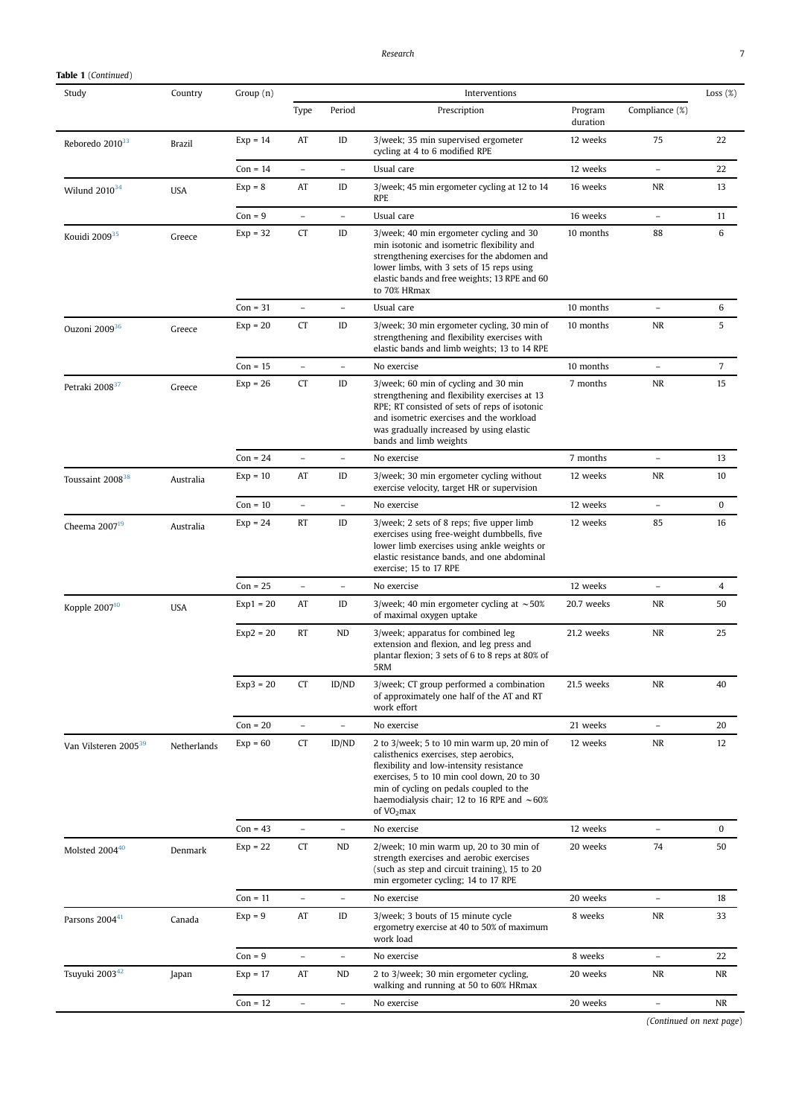## Table 1 (Continued)

| Study                            | Country       | Group(n)    |                          |                          | Interventions                                                                                                                                                                                                                                                                                            |                     |                          |              |  |
|----------------------------------|---------------|-------------|--------------------------|--------------------------|----------------------------------------------------------------------------------------------------------------------------------------------------------------------------------------------------------------------------------------------------------------------------------------------------------|---------------------|--------------------------|--------------|--|
|                                  |               |             | Type                     | Period                   | Prescription                                                                                                                                                                                                                                                                                             | Program<br>duration | Compliance (%)           |              |  |
| Reboredo 201033                  | <b>Brazil</b> | $Exp = 14$  | AT                       | ID                       | 3/week; 35 min supervised ergometer<br>cycling at 4 to 6 modified RPE                                                                                                                                                                                                                                    | 12 weeks            | 75                       | 22           |  |
|                                  |               | $Con = 14$  | $\overline{\phantom{a}}$ | $\overline{\phantom{a}}$ | Usual care                                                                                                                                                                                                                                                                                               | 12 weeks            | $\equiv$                 | 22           |  |
| Wilund $2010^{34}$               | <b>USA</b>    | $Exp = 8$   | AT                       | ID                       | 3/week; 45 min ergometer cycling at 12 to 14<br><b>RPE</b>                                                                                                                                                                                                                                               | 16 weeks            | NR                       | 13           |  |
|                                  |               | $Con = 9$   | $\equiv$                 | $\overline{\phantom{a}}$ | Usual care                                                                                                                                                                                                                                                                                               | 16 weeks            | $\overline{\phantom{a}}$ | 11           |  |
| Kouidi 2009 <sup>35</sup>        | Greece        | $Exp = 32$  | CT                       | ID                       | 3/week; 40 min ergometer cycling and 30<br>min isotonic and isometric flexibility and<br>strengthening exercises for the abdomen and<br>lower limbs, with 3 sets of 15 reps using<br>elastic bands and free weights; 13 RPE and 60<br>to 70% HRmax                                                       | 10 months           | 88                       | 6            |  |
|                                  |               | $Con = 31$  | $\overline{a}$           | $\equiv$                 | Usual care                                                                                                                                                                                                                                                                                               | 10 months           | $\equiv$                 | 6            |  |
| Ouzoni 2009 <sup>36</sup>        | Greece        | $Exp = 20$  | CT                       | ID                       | 3/week; 30 min ergometer cycling, 30 min of<br>strengthening and flexibility exercises with<br>elastic bands and limb weights; 13 to 14 RPE                                                                                                                                                              | 10 months           | NR                       | 5            |  |
|                                  |               | $Con = 15$  | $\overline{\phantom{a}}$ | $\overline{\phantom{a}}$ | No exercise                                                                                                                                                                                                                                                                                              | 10 months           | $\equiv$                 | 7            |  |
| Petraki 2008 <sup>37</sup>       | Greece        | $Exp = 26$  | CT                       | ID                       | 3/week; 60 min of cycling and 30 min<br>strengthening and flexibility exercises at 13<br>RPE; RT consisted of sets of reps of isotonic<br>and isometric exercises and the workload<br>was gradually increased by using elastic<br>bands and limb weights                                                 | 7 months            | NR                       | 15           |  |
|                                  |               | $Con = 24$  | $\qquad \qquad -$        | $\equiv$                 | No exercise                                                                                                                                                                                                                                                                                              | 7 months            | $\equiv$                 | 13           |  |
| Toussaint 2008 <sup>38</sup>     | Australia     | $Exp = 10$  | AT                       | ID                       | 3/week; 30 min ergometer cycling without<br>exercise velocity, target HR or supervision                                                                                                                                                                                                                  | 12 weeks            | <b>NR</b>                | 10           |  |
|                                  |               | $Con = 10$  | $\equiv$                 | $\equiv$                 | No exercise                                                                                                                                                                                                                                                                                              | 12 weeks            | $\equiv$                 | 0            |  |
| Cheema 2007 <sup>19</sup>        | Australia     | $Exp = 24$  | <b>RT</b>                | ID                       | 3/week; 2 sets of 8 reps; five upper limb<br>exercises using free-weight dumbbells, five<br>lower limb exercises using ankle weights or<br>elastic resistance bands, and one abdominal<br>exercise; 15 to 17 RPE                                                                                         | 12 weeks            | 85                       | 16           |  |
|                                  |               | $Con = 25$  | $\qquad \qquad -$        | $\equiv$                 | No exercise                                                                                                                                                                                                                                                                                              | 12 weeks            | $\equiv$                 | 4            |  |
| Kopple 2007 <sup>10</sup>        | <b>USA</b>    | $Exp1 = 20$ | AT                       | ID                       | 3/week; 40 min ergometer cycling at $\sim$ 50%<br>of maximal oxygen uptake                                                                                                                                                                                                                               | 20.7 weeks          | <b>NR</b>                | 50           |  |
|                                  |               | $Exp2 = 20$ | RT                       | <b>ND</b>                | 3/week; apparatus for combined leg<br>extension and flexion, and leg press and<br>plantar flexion; 3 sets of 6 to 8 reps at 80% of<br>5RM                                                                                                                                                                | 21.2 weeks          | <b>NR</b>                | 25           |  |
|                                  |               | $Exp3 = 20$ | CT                       | ID/ND                    | 3/week; CT group performed a combination<br>of approximately one half of the AT and RT<br>work effort                                                                                                                                                                                                    | 21.5 weeks          | NR                       | 40           |  |
|                                  |               | $Con = 20$  | $\equiv$                 | $\equiv$                 | No exercise                                                                                                                                                                                                                                                                                              | 21 weeks            | $\equiv$                 | 20           |  |
| Van Vilsteren 2005 <sup>39</sup> | Netherlands   | $Exp = 60$  | CT                       | ID/ND                    | 2 to 3/week; 5 to 10 min warm up, 20 min of<br>calisthenics exercises, step aerobics,<br>flexibility and low-intensity resistance<br>exercises, 5 to 10 min cool down, 20 to 30<br>min of cycling on pedals coupled to the<br>haemodialysis chair; 12 to 16 RPE and $\sim$ 60%<br>of VO <sub>2</sub> max | 12 weeks            | NR                       | 12           |  |
|                                  |               | $Con = 43$  | $\qquad \qquad -$        | $\overline{\phantom{a}}$ | No exercise                                                                                                                                                                                                                                                                                              | 12 weeks            | $\overline{\phantom{a}}$ | $\mathbf{0}$ |  |
| Molsted 200440                   | Denmark       | $Exp = 22$  | CT                       | ND                       | $2$ /week; 10 min warm up, 20 to 30 min of<br>strength exercises and aerobic exercises<br>(such as step and circuit training), 15 to 20<br>min ergometer cycling; 14 to 17 RPE                                                                                                                           | 20 weeks            | 74                       | 50           |  |
|                                  |               | $Con = 11$  | $\overline{\phantom{a}}$ | $\overline{\phantom{0}}$ | No exercise                                                                                                                                                                                                                                                                                              | 20 weeks            | $\overline{\phantom{a}}$ | 18           |  |
| Parsons 200441                   | Canada        | $Exp = 9$   | AT                       | ID                       | 3/week; 3 bouts of 15 minute cycle<br>ergometry exercise at 40 to 50% of maximum<br>work load                                                                                                                                                                                                            | 8 weeks             | <b>NR</b>                | 33           |  |
|                                  |               | $Con = 9$   | $\overline{\phantom{a}}$ | $\overline{\phantom{a}}$ | No exercise                                                                                                                                                                                                                                                                                              | 8 weeks             | $\overline{\phantom{a}}$ | 22           |  |
| Tsuyuki 2003 <sup>42</sup>       | Japan         | $Exp = 17$  | AT                       | ND                       | 2 to 3/week; 30 min ergometer cycling,<br>walking and running at 50 to 60% HRmax                                                                                                                                                                                                                         | 20 weeks            | <b>NR</b>                | NR           |  |
|                                  |               |             |                          |                          |                                                                                                                                                                                                                                                                                                          |                     |                          |              |  |

(Continued on next page)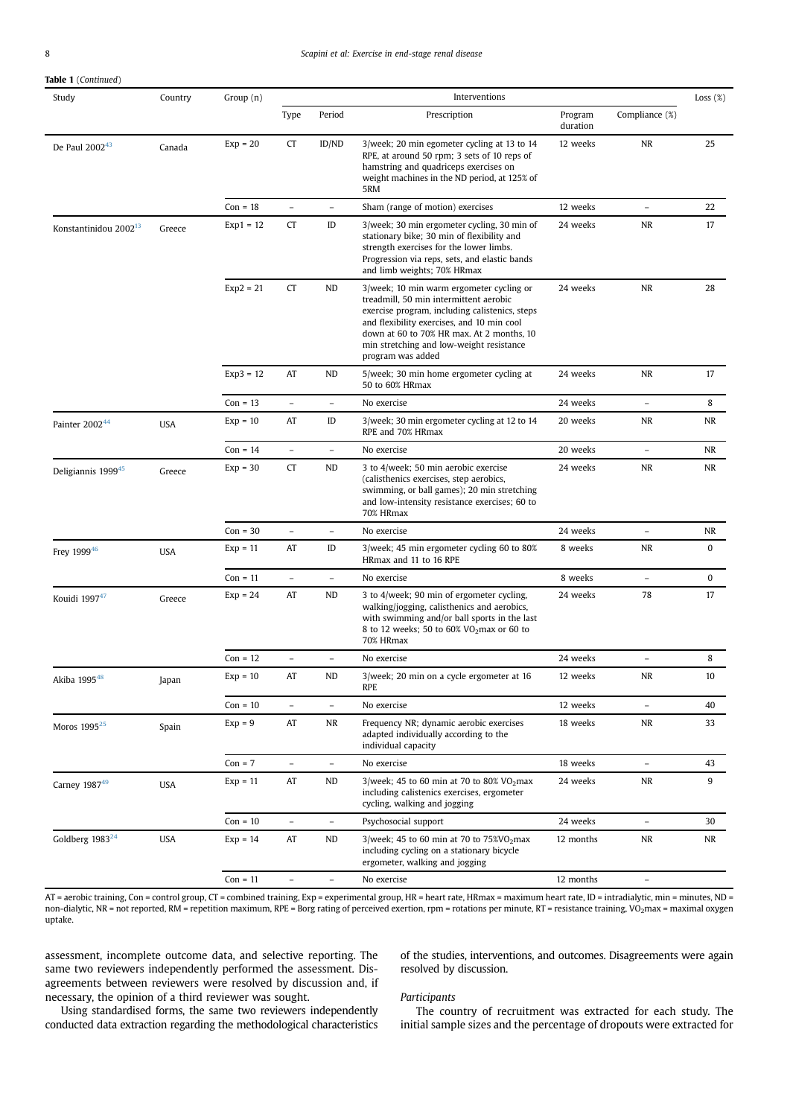Table 1 (Continued)

| Study                             | Country    | Group (n)   |                          |                          | Interventions                                                                                                                                                                                                                                                                                    |                     |                          | Loss $(\%)$ |
|-----------------------------------|------------|-------------|--------------------------|--------------------------|--------------------------------------------------------------------------------------------------------------------------------------------------------------------------------------------------------------------------------------------------------------------------------------------------|---------------------|--------------------------|-------------|
|                                   |            |             | Type                     | Period                   | Prescription                                                                                                                                                                                                                                                                                     | Program<br>duration | Compliance (%)           |             |
| De Paul 2002 <sup>43</sup>        | Canada     | $Exp = 20$  | CT                       | ID/ND                    | 3/week; 20 min egometer cycling at 13 to 14<br>RPE, at around 50 rpm; 3 sets of 10 reps of<br>hamstring and quadriceps exercises on<br>weight machines in the ND period, at 125% of<br>5RM                                                                                                       | 12 weeks            | NR                       | 25          |
|                                   |            | $Con = 18$  | $\qquad \qquad -$        | $\overline{\phantom{a}}$ | Sham (range of motion) exercises                                                                                                                                                                                                                                                                 | 12 weeks            | $\overline{\phantom{a}}$ | 22          |
| Konstantinidou 2002 <sup>13</sup> | Greece     | $Exp1 = 12$ | CT                       | ID                       | 3/week; 30 min ergometer cycling, 30 min of<br>stationary bike; 30 min of flexibility and<br>strength exercises for the lower limbs.<br>Progression via reps, sets, and elastic bands<br>and limb weights; 70% HRmax                                                                             | 24 weeks            | NR                       | 17          |
|                                   |            | $Exp2 = 21$ | CT                       | ND                       | 3/week; 10 min warm ergometer cycling or<br>treadmill, 50 min intermittent aerobic<br>exercise program, including calistenics, steps<br>and flexibility exercises, and 10 min cool<br>down at 60 to 70% HR max. At 2 months, 10<br>min stretching and low-weight resistance<br>program was added | 24 weeks            | NR                       | 28          |
|                                   |            | $Exp3 = 12$ | AT                       | <b>ND</b>                | 5/week; 30 min home ergometer cycling at<br>50 to 60% HRmax                                                                                                                                                                                                                                      | 24 weeks            | NR                       | 17          |
|                                   |            | $Con = 13$  | $\overline{a}$           | $\equiv$                 | No exercise                                                                                                                                                                                                                                                                                      | 24 weeks            |                          | 8           |
| Painter 2002 <sup>44</sup>        | <b>USA</b> | $Exp = 10$  | AT                       | ID                       | 3/week; 30 min ergometer cycling at 12 to 14<br>RPE and 70% HRmax                                                                                                                                                                                                                                | 20 weeks            | <b>NR</b>                | NR          |
|                                   |            | $Con = 14$  | $\overline{\phantom{0}}$ | $\equiv$                 | No exercise                                                                                                                                                                                                                                                                                      | 20 weeks            |                          | NR          |
| Deligiannis 1999 <sup>45</sup>    | Greece     | $Exp = 30$  | CT                       | <b>ND</b>                | 3 to 4/week; 50 min aerobic exercise<br>(calisthenics exercises, step aerobics,<br>swimming, or ball games); 20 min stretching<br>and low-intensity resistance exercises; 60 to<br>70% HRmax                                                                                                     | 24 weeks            | <b>NR</b>                | NR          |
|                                   |            | $Con = 30$  | $\equiv$                 | $\equiv$                 | No exercise                                                                                                                                                                                                                                                                                      | 24 weeks            |                          | NR          |
| Frey 1999 <sup>46</sup>           | <b>USA</b> | $Exp = 11$  | AT                       | ID                       | 3/week; 45 min ergometer cycling 60 to 80%<br>HRmax and 11 to 16 RPE                                                                                                                                                                                                                             | 8 weeks             | NR                       | 0           |
|                                   |            | $Con = 11$  | $\overline{\phantom{0}}$ | $\overline{\phantom{a}}$ | No exercise                                                                                                                                                                                                                                                                                      | 8 weeks             |                          | 0           |
| Kouidi 1997 <sup>47</sup>         | Greece     | $Exp = 24$  | AT                       | ND                       | 3 to 4/week; 90 min of ergometer cycling,<br>walking/jogging, calisthenics and aerobics,<br>with swimming and/or ball sports in the last<br>8 to 12 weeks; 50 to 60% $VO2$ max or 60 to<br>70% HRmax                                                                                             | 24 weeks            | 78                       | 17          |
|                                   |            | $Con = 12$  |                          |                          | No exercise                                                                                                                                                                                                                                                                                      | 24 weeks            |                          | 8           |
| Akiba 1995 <sup>48</sup>          | Japan      | $Exp = 10$  | AT                       | <b>ND</b>                | 3/week; 20 min on a cycle ergometer at 16<br><b>RPE</b>                                                                                                                                                                                                                                          | 12 weeks            | <b>NR</b>                | 10          |
|                                   |            | $Con = 10$  |                          | $\overline{\phantom{m}}$ | No exercise                                                                                                                                                                                                                                                                                      | 12 weeks            |                          | 40          |
| Moros 1995 <sup>25</sup>          | Spain      | $Exp = 9$   | AT                       | NR                       | Frequency NR; dynamic aerobic exercises<br>adapted individually according to the<br>individual capacity                                                                                                                                                                                          | 18 weeks            | NR                       | 33          |
|                                   |            | $Con = 7$   | -                        | $\overline{\phantom{a}}$ | No exercise                                                                                                                                                                                                                                                                                      | 18 weeks            | $\overline{\phantom{0}}$ | 43          |
| Carney 1987 <sup>49</sup>         | <b>USA</b> | $Exp = 11$  | AT                       | ND                       | 3/week; 45 to 60 min at 70 to 80% $VO2$ max<br>including calistenics exercises, ergometer<br>cycling, walking and jogging                                                                                                                                                                        | 24 weeks            | NR                       | 9           |
|                                   |            | $Con = 10$  | $\overline{\phantom{0}}$ | $\overline{\phantom{a}}$ | Psychosocial support                                                                                                                                                                                                                                                                             | 24 weeks            | $\overline{\phantom{0}}$ | 30          |
| Goldberg $1983^{24}$              | <b>USA</b> | $Exp = 14$  | AT                       | ND                       | 3/week; 45 to 60 min at 70 to $75\%$ VO <sub>2</sub> max<br>including cycling on a stationary bicycle<br>ergometer, walking and jogging                                                                                                                                                          | 12 months           | NR                       | NR          |
|                                   |            | $Con = 11$  |                          | $\overline{\phantom{0}}$ | No exercise                                                                                                                                                                                                                                                                                      | 12 months           | $\qquad \qquad -$        |             |

AT = aerobic training, Con = control group, CT = combined training, Exp = experimental group, HR = heart rate, HRmax = maximum heart rate, ID = intradialytic, min = minutes, ND = non-dialytic, NR = not reported, RM = repetition maximum, RPE = Borg rating of perceived exertion, rpm = rotations per minute, RT = resistance training, VO<sub>2</sub>max = maximal oxygen uptake.

assessment, incomplete outcome data, and selective reporting. The same two reviewers independently performed the assessment. Disagreements between reviewers were resolved by discussion and, if necessary, the opinion of a third reviewer was sought.

of the studies, interventions, and outcomes. Disagreements were again resolved by discussion.

## Participants

Using standardised forms, the same two reviewers independently conducted data extraction regarding the methodological characteristics

The country of recruitment was extracted for each study. The initial sample sizes and the percentage of dropouts were extracted for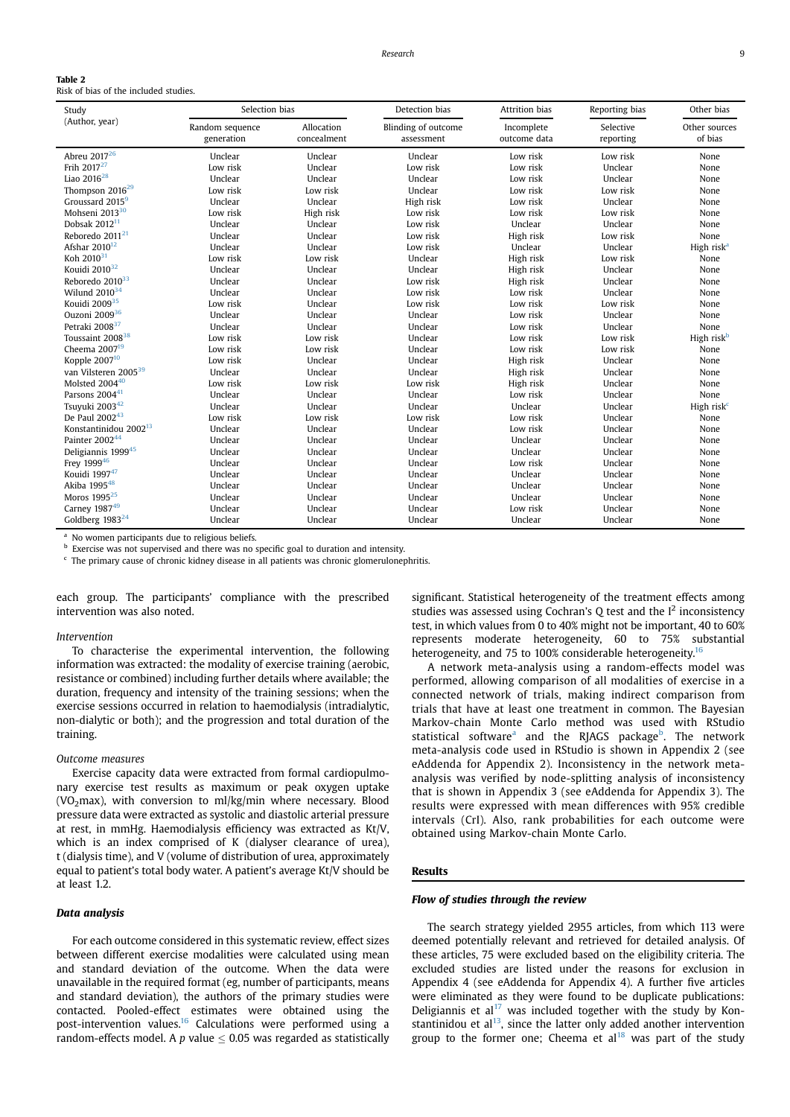<span id="page-5-0"></span>

| Table 2                               |  |  |
|---------------------------------------|--|--|
| Risk of bias of the included studies. |  |  |

| Study                             | Selection bias                |                           | Detection bias                    | Attrition bias             | Reporting bias         | Other bias               |
|-----------------------------------|-------------------------------|---------------------------|-----------------------------------|----------------------------|------------------------|--------------------------|
| (Author, year)                    | Random sequence<br>generation | Allocation<br>concealment | Blinding of outcome<br>assessment | Incomplete<br>outcome data | Selective<br>reporting | Other sources<br>of bias |
| Abreu 2017 <sup>26</sup>          | Unclear                       | Unclear                   | Unclear                           | Low risk                   | Low risk               | None                     |
| Frih 2017 <sup>27</sup>           | Low risk                      | Unclear                   | Low risk                          | Low risk                   | Unclear                | None                     |
| Liao 2016 <sup>28</sup>           | Unclear                       | Unclear                   | Unclear                           | Low risk                   | Unclear                | None                     |
| Thompson $2016^{29}$              | Low risk                      | Low risk                  | Unclear                           | Low risk                   | Low risk               | None                     |
| Groussard 2015 <sup>9</sup>       | Unclear                       | Unclear                   | High risk                         | Low risk                   | Unclear                | None                     |
| Mohseni 2013 <sup>30</sup>        | Low risk                      | High risk                 | Low risk                          | Low risk                   | Low risk               | None                     |
| Dobsak 2012 <sup>11</sup>         | Unclear                       | Unclear                   | Low risk                          | Unclear                    | Unclear                | None                     |
| Reboredo 2011 <sup>21</sup>       | Unclear                       | Unclear                   | Low risk                          | High risk                  | Low risk               | None                     |
| Afshar 2010 <sup>12</sup>         | Unclear                       | Unclear                   | Low risk                          | Unclear                    | Unclear                | High risk <sup>a</sup>   |
| Koh 2010 <sup>31</sup>            | Low risk                      | Low risk                  | Unclear                           | High risk                  | Low risk               | None                     |
| Kouidi 2010 <sup>32</sup>         | Unclear                       | Unclear                   | Unclear                           | High risk                  | Unclear                | None                     |
| Reboredo 2010 <sup>33</sup>       | Unclear                       | Unclear                   | Low risk                          | High risk                  | Unclear                | None                     |
| Wilund $2010^{34}$                | Unclear                       | Unclear                   | Low risk                          | Low risk                   | Unclear                | None                     |
| Kouidi 2009 <sup>35</sup>         | Low risk                      | Unclear                   | Low risk                          | Low risk                   | Low risk               | None                     |
| Ouzoni 2009 <sup>36</sup>         | Unclear                       | Unclear                   | Unclear                           | Low risk                   | Unclear                | None                     |
| Petraki 2008 <sup>37</sup>        | Unclear                       | Unclear                   | Unclear                           | Low risk                   | Unclear                | None                     |
| Toussaint 2008 <sup>38</sup>      | Low risk                      | Low risk                  | Unclear                           | Low risk                   | Low risk               | High risk <sup>b</sup>   |
| Cheema $2007^{19}$                | Low risk                      | Low risk                  | Unclear                           | Low risk                   | Low risk               | None                     |
| Kopple 2007 <sup>10</sup>         | Low risk                      | Unclear                   | Unclear                           | High risk                  | Unclear                | None                     |
| van Vilsteren 2005 <sup>39</sup>  | Unclear                       | Unclear                   | Unclear                           | High risk                  | Unclear                | None                     |
| Molsted 200440                    | Low risk                      | Low risk                  | Low risk                          | High risk                  | Unclear                | None                     |
| Parsons 200441                    | Unclear                       | Unclear                   | Unclear                           | Low risk                   | Unclear                | None                     |
| Tsuyuki 2003 $42$                 | Unclear                       | Unclear                   | Unclear                           | Unclear                    | Unclear                | High risk <sup>c</sup>   |
| De Paul 2002 <sup>43</sup>        | Low risk                      | Low risk                  | Low risk                          | Low risk                   | Unclear                | None                     |
| Konstantinidou 2002 <sup>13</sup> | Unclear                       | Unclear                   | Unclear                           | Low risk                   | Unclear                | None                     |
| Painter 200244                    | Unclear                       | Unclear                   | Unclear                           | Unclear                    | Unclear                | None                     |
| Deligiannis 1999 <sup>45</sup>    | Unclear                       | Unclear                   | Unclear                           | Unclear                    | Unclear                | None                     |
| Frey 1999 <sup>46</sup>           | Unclear                       | Unclear                   | Unclear                           | Low risk                   | Unclear                | None                     |
| Kouidi 1997 $47$                  | Unclear                       | Unclear                   | Unclear                           | Unclear                    | Unclear                | None                     |
| Akiba 1995 <sup>48</sup>          | Unclear                       | Unclear                   | Unclear                           | Unclear                    | Unclear                | None                     |
| Moros 1995 <sup>25</sup>          | Unclear                       | Unclear                   | Unclear                           | Unclear                    | Unclear                | None                     |
| Carney 1987 <sup>49</sup>         | Unclear                       | Unclear                   | Unclear                           | Low risk                   | Unclear                | None                     |
| Goldberg $1983^{24}$              | Unclear                       | Unclear                   | Unclear                           | Unclear                    | Unclear                | None                     |

<sup>a</sup> No women participants due to religious beliefs.

**b** Exercise was not supervised and there was no specific goal to duration and intensity.

<sup>c</sup> The primary cause of chronic kidney disease in all patients was chronic glomerulonephritis.

each group. The participants' compliance with the prescribed intervention was also noted.

## Intervention

To characterise the experimental intervention, the following information was extracted: the modality of exercise training (aerobic, resistance or combined) including further details where available; the duration, frequency and intensity of the training sessions; when the exercise sessions occurred in relation to haemodialysis (intradialytic, non-dialytic or both); and the progression and total duration of the training.

## Outcome measures

Exercise capacity data were extracted from formal cardiopulmonary exercise test results as maximum or peak oxygen uptake (VO<sub>2</sub>max), with conversion to ml/kg/min where necessary. Blood pressure data were extracted as systolic and diastolic arterial pressure at rest, in mmHg. Haemodialysis efficiency was extracted as Kt/V, which is an index comprised of K (dialyser clearance of urea), t (dialysis time), and V (volume of distribution of urea, approximately equal to patient's total body water. A patient's average Kt/V should be at least 1.2.

## Data analysis

For each outcome considered in this systematic review, effect sizes between different exercise modalities were calculated using mean and standard deviation of the outcome. When the data were unavailable in the required format (eg, number of participants, means and standard deviation), the authors of the primary studies were contacted. Pooled-effect estimates were obtained using the post-intervention values[.16](#page-10-0) Calculations were performed using a random-effects model. A p value  $\leq$  0.05 was regarded as statistically significant. Statistical heterogeneity of the treatment effects among studies was assessed using Cochran's Q test and the  $I^2$  inconsistency test, in which values from 0 to 40% might not be important, 40 to 60% represents moderate heterogeneity, 60 to 75% substantial heterogeneity, and 75 to 100% considerable heterogeneity.<sup>[16](#page-10-0)</sup>

A network meta-analysis using a random-effects model was performed, allowing comparison of all modalities of exercise in a connected network of trials, making indirect comparison from trials that have at least one treatment in common. The Bayesian Markov-chain Monte Carlo method was used with RStudio statistical software<sup>a</sup> and the RJAGS package<sup>b</sup>. The network meta-analysis code used in RStudio is shown in Appendix 2 (see eAddenda for Appendix 2). Inconsistency in the network metaanalysis was verified by node-splitting analysis of inconsistency that is shown in Appendix 3 (see eAddenda for Appendix 3). The results were expressed with mean differences with 95% credible intervals (CrI). Also, rank probabilities for each outcome were obtained using Markov-chain Monte Carlo.

## Results

## Flow of studies through the review

The search strategy yielded 2955 articles, from which 113 were deemed potentially relevant and retrieved for detailed analysis. Of these articles, 75 were excluded based on the eligibility criteria. The excluded studies are listed under the reasons for exclusion in Appendix 4 (see eAddenda for Appendix 4). A further five articles were eliminated as they were found to be duplicate publications: Deligiannis et al $^{17}$  was included together with the study by Konstantinidou et al<sup>13</sup>, since the latter only added another intervention group to the former one; Cheema et  $al^{18}$  $al^{18}$  $al^{18}$  was part of the study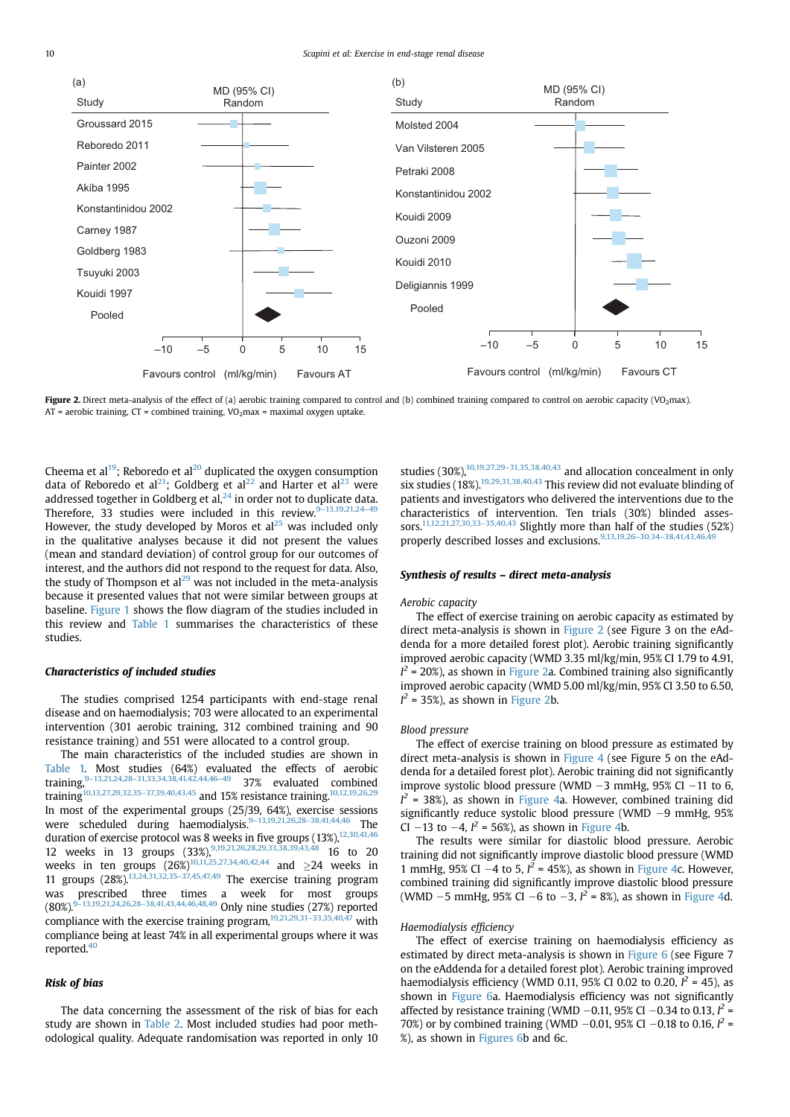<span id="page-6-0"></span>

Figure 2. Direct meta-analysis of the effect of (a) aerobic training compared to control and (b) combined training compared to control on aerobic capacity (VO<sub>2</sub>max).  $AT$  = aerobic training,  $CT$  = combined training,  $VO<sub>2</sub>$  maximal oxygen uptake.

Cheema et al<sup>19</sup>; Reboredo et al<sup>20</sup> duplicated the oxygen consumption data of Reboredo et al<sup>[21](#page-11-0)</sup>; Goldberg et al<sup>22</sup> and Harter et al<sup>[23](#page-11-0)</sup> were addressed together in Goldberg et al, $^{24}$  $^{24}$  $^{24}$  in order not to duplicate data. Therefore, 33 studies were included in this review.<sup>9-[13,19,21,24](#page-10-0)-49</sup> However, the study developed by Moros et  $al<sup>25</sup>$  was included only in the qualitative analyses because it did not present the values (mean and standard deviation) of control group for our outcomes of interest, and the authors did not respond to the request for data. Also, the study of Thompson et al<sup>[29](#page-11-0)</sup> was not included in the meta-analysis because it presented values that not were similar between groups at baseline. [Figure 1](#page-1-0) shows the flow diagram of the studies included in this review and [Table 1](#page-2-0) summarises the characteristics of these studies.

## Characteristics of included studies

The studies comprised 1254 participants with end-stage renal disease and on haemodialysis; 703 were allocated to an experimental intervention (301 aerobic training, 312 combined training and 90 resistance training) and 551 were allocated to a control group.

The main characteristics of the included studies are shown in [Table 1.](#page-2-0) Most studies (64%) evaluated the effects of aerobic training, <sup>9–13,21,24,28–[31,33,34,38,41,42,44,46](#page-10-0)–49</sup> 37% evaluated combined trainin[g10,13,27,29,32,35](#page-10-0)–37,39,40,43,45 and 15% resistance training.[10,12,19,26,29](#page-10-0) In most of the experimental groups (25/39, 64%), exercise sessions were scheduled during haemodialysis.<sup>9-[13,19,21,26,28](#page-10-0)-38,41,44,46</sup> The duration of exercise protocol was 8 weeks in five groups  $(13\%)$ ,  $(12,30,41,46)$  $(12,30,41,46)$  $(12,30,41,46)$ 12 weeks in 13 groups (33%), <sup>9,19,21,26,28,29,33,38,39,43,48</sup> 16 to 20 weeks in ten groups  $(26\%)^{10,11,25,27,34,40,42,44}$  and >24 weeks in 11 groups  $(28\%)^{13,24,31,32,35-37,45,47,49}$  $(28\%)^{13,24,31,32,35-37,45,47,49}$  $(28\%)^{13,24,31,32,35-37,45,47,49}$  The exercise training program was prescribed three times a week for most groups (80%).9–13,19,21,24,26,28–[38,41,43,44,46,48,49](#page-10-0) Only nine studies (27%) reported compliance with the exercise training program,<sup>[19,21,29,31](#page-11-0)–33,35,40,47</sup> with compliance being at least 74% in all experimental groups where it was reported.<sup>[40](#page-11-0)</sup>

## Risk of bias

The data concerning the assessment of the risk of bias for each study are shown in [Table 2.](#page-5-0) Most included studies had poor methodological quality. Adequate randomisation was reported in only 10 studies (30%),<sup>10,19,27,29-[31,35,38,40,43](#page-10-0)</sup> and allocation concealment in only six studies  $(18\%)$ <sup>[19,29,31,38,40,43](#page-11-0)</sup> This review did not evaluate blinding of patients and investigators who delivered the interventions due to the characteristics of intervention. Ten trials (30%) blinded assessors[.11,12,21,27,30,33](#page-10-0)–35,40,43 Slightly more than half of the studies (52%) properly described losses and exclusions.<sup>9,13,19,26-30,34-38,41,43,46</sup>

## Synthesis of results – direct meta-analysis

## Aerobic capacity

The effect of exercise training on aerobic capacity as estimated by direct meta-analysis is shown in Figure 2 (see Figure 3 on the eAddenda for a more detailed forest plot). Aerobic training significantly improved aerobic capacity (WMD 3.35 ml/kg/min, 95% CI 1.79 to 4.91,  $I^2$  = 20%), as shown in Figure 2a. Combined training also significantly improved aerobic capacity (WMD 5.00 ml/kg/min, 95% CI 3.50 to 6.50,  $I^2$  = 35%), as shown in Figure 2b.

## Blood pressure

The effect of exercise training on blood pressure as estimated by direct meta-analysis is shown in [Figure 4](#page-7-0) (see Figure 5 on the eAddenda for a detailed forest plot). Aerobic training did not significantly improve systolic blood pressure (WMD  $-3$  mmHg, 95% CI  $-11$  to 6,  $I^2$  = 38%), as shown in [Figure 4a](#page-7-0). However, combined training did significantly reduce systolic blood pressure (WMD  $-9$  mmHg,  $95%$ CI -13 to -4,  $I^2$  = 56%), as shown in [Figure 4](#page-7-0)b.

The results were similar for diastolic blood pressure. Aerobic training did not significantly improve diastolic blood pressure (WMD 1 mmHg, 95% CI  $-4$  to 5,  $I^2 = 45\%$ ), as shown in [Figure 4c](#page-7-0). However, combined training did significantly improve diastolic blood pressure (WMD  $-5$  mmHg, 95% CI  $-6$  to  $-3$ ,  $I^2 = 8\%$ ), as shown in [Figure 4d](#page-7-0).

## Haemodialysis efficiency

The effect of exercise training on haemodialysis efficiency as estimated by direct meta-analysis is shown in [Figure 6](#page-8-0) (see Figure 7 on the eAddenda for a detailed forest plot). Aerobic training improved haemodialysis efficiency (WMD 0.11, 95% CI 0.02 to 0.20,  $I^2 = 45$ ), as shown in [Figure 6](#page-8-0)a. Haemodialysis efficiency was not significantly affected by resistance training (WMD  $-0.11$ , 95% CI  $-0.34$  to 0.13,  $I^2$  = 70%) or by combined training (WMD  $-0.01$ , 95% CI  $-0.18$  to 0.16,  $I^2$  = %), as shown in [Figures 6](#page-8-0)b and 6c.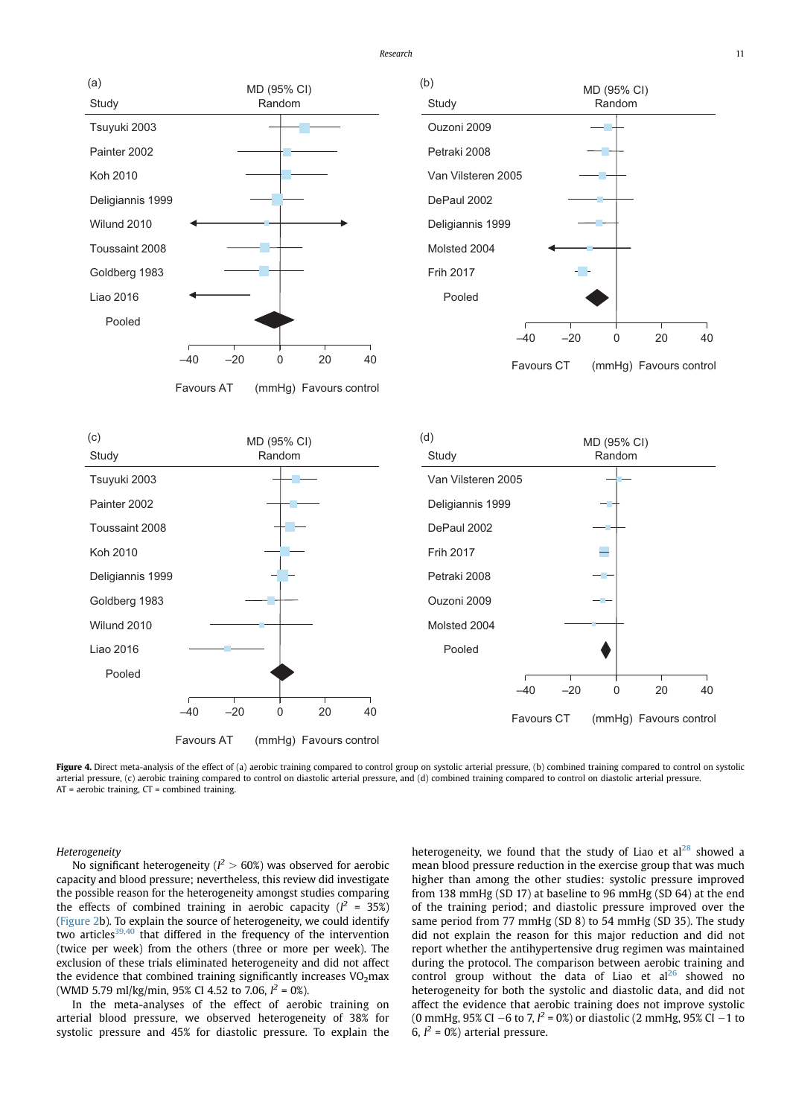<span id="page-7-0"></span>



Favours AT (mmHg) Favours control



Figure 4. Direct meta-analysis of the effect of (a) aerobic training compared to control group on systolic arterial pressure, (b) combined training compared to control on systolic arterial pressure, (c) aerobic training compared to control on diastolic arterial pressure, and (d) combined training compared to control on diastolic arterial pressure.  $AT$  = aerobic training,  $CT$  = combined training.

## Heterogeneity

**Study** 

Tsuyuki 2003 Painter 2002 Toussaint 2008

Koh 2010

Deligiannis 1999 Goldberg 1983 Wilund 2010 Liao 2016 Pooled

No significant heterogeneity ( $l^2 > 60\%)$  was observed for aerobic capacity and blood pressure; nevertheless, this review did investigate the possible reason for the heterogeneity amongst studies comparing the effects of combined training in aerobic capacity ( $I^2 = 35\%$ ) [\(Figure 2b](#page-6-0)). To explain the source of heterogeneity, we could identify two articles<sup>[39,40](#page-11-0)</sup> that differed in the frequency of the intervention (twice per week) from the others (three or more per week). The exclusion of these trials eliminated heterogeneity and did not affect the evidence that combined training significantly increases  $VO<sub>2</sub>$ max (WMD 5.79 ml/kg/min, 95% CI 4.52 to 7.06,  $I^2 = 0\%$ ).

In the meta-analyses of the effect of aerobic training on arterial blood pressure, we observed heterogeneity of 38% for systolic pressure and 45% for diastolic pressure. To explain the heterogeneity, we found that the study of Liao et  $al^{28}$  $al^{28}$  $al^{28}$  showed a mean blood pressure reduction in the exercise group that was much higher than among the other studies: systolic pressure improved from 138 mmHg (SD 17) at baseline to 96 mmHg (SD 64) at the end of the training period; and diastolic pressure improved over the same period from 77 mmHg (SD 8) to 54 mmHg (SD 35). The study did not explain the reason for this major reduction and did not report whether the antihypertensive drug regimen was maintained during the protocol. The comparison between aerobic training and control group without the data of Liao et  $al^{26}$  $al^{26}$  $al^{26}$  showed no heterogeneity for both the systolic and diastolic data, and did not affect the evidence that aerobic training does not improve systolic (0 mmHg, 95% CI –6 to 7,  $I^2 = 0$ %) or diastolic (2 mmHg, 95% CI –1 to 6,  $I^2$  = 0%) arterial pressure.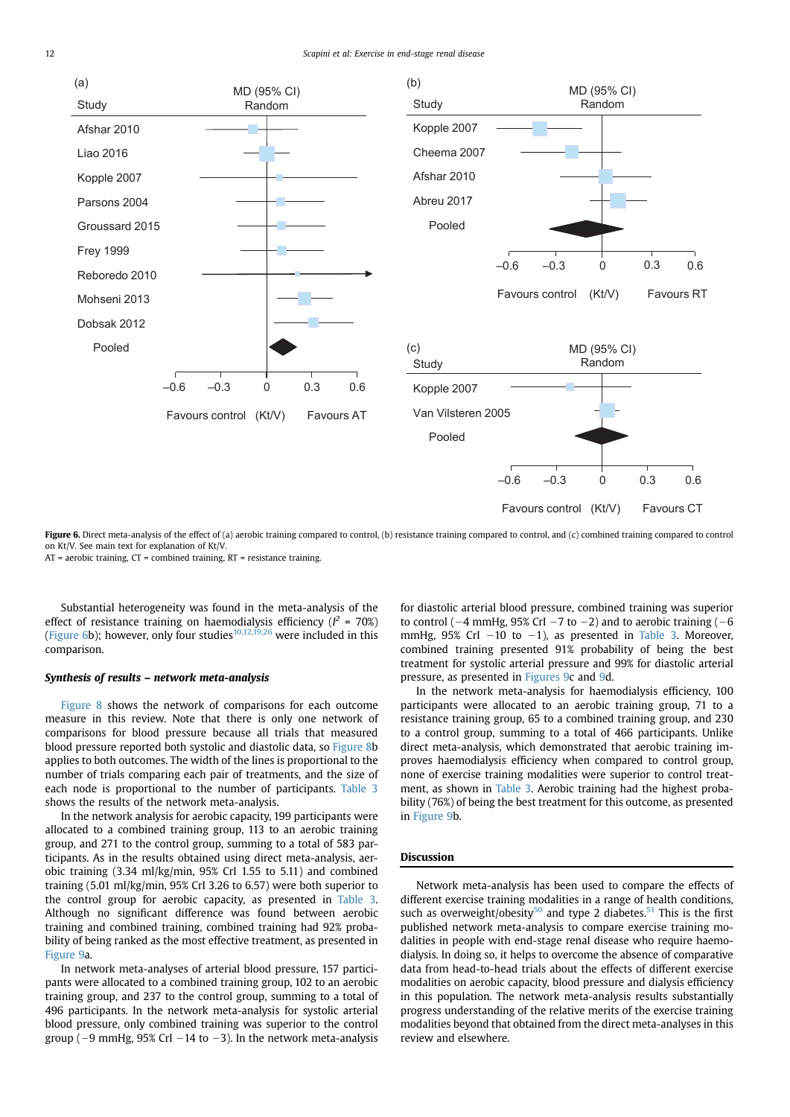<span id="page-8-0"></span>

Figure 6. Direct meta-analysis of the effect of (a) aerobic training compared to control, (b) resistance training compared to control, and (c) combined training compared to control on Kt/V. See main text for explanation of Kt/V.

 $AT$  = aerobic training,  $CT$  = combined training,  $RT$  = resistance training.

Substantial heterogeneity was found in the meta-analysis of the effect of resistance training on haemodialysis efficiency ( $l^2$  = 70%) (Figure 6b); however, only four studies<sup>[10,12,19,26](#page-10-0)</sup> were included in this comparison.

## Synthesis of results – network meta-analysis

[Figure 8](#page-9-0) shows the network of comparisons for each outcome measure in this review. Note that there is only one network of comparisons for blood pressure because all trials that measured blood pressure reported both systolic and diastolic data, so [Figure 8](#page-9-0)b applies to both outcomes. The width of the lines is proportional to the number of trials comparing each pair of treatments, and the size of each node is proportional to the number of participants. [Table 3](#page-9-0) shows the results of the network meta-analysis.

In the network analysis for aerobic capacity, 199 participants were allocated to a combined training group, 113 to an aerobic training group, and 271 to the control group, summing to a total of 583 participants. As in the results obtained using direct meta-analysis, aerobic training (3.34 ml/kg/min, 95% CrI 1.55 to 5.11) and combined training (5.01 ml/kg/min, 95% CrI 3.26 to 6.57) were both superior to the control group for aerobic capacity, as presented in [Table 3](#page-9-0). Although no significant difference was found between aerobic training and combined training, combined training had 92% probability of being ranked as the most effective treatment, as presented in [Figure 9a](#page-10-0).

In network meta-analyses of arterial blood pressure, 157 participants were allocated to a combined training group, 102 to an aerobic training group, and 237 to the control group, summing to a total of 496 participants. In the network meta-analysis for systolic arterial blood pressure, only combined training was superior to the control group ( $-9$  mmHg,  $95\%$  CrI  $-14$  to  $-3$ ). In the network meta-analysis for diastolic arterial blood pressure, combined training was superior to control ( $-4$  mmHg, 95% CrI  $-7$  to  $-2$ ) and to aerobic training ( $-6$ mmHg, 95% CrI -10 to -1), as presented in [Table 3.](#page-9-0) Moreover, combined training presented 91% probability of being the best treatment for systolic arterial pressure and 99% for diastolic arterial pressure, as presented in [Figures 9](#page-10-0)c and [9](#page-10-0)d.

In the network meta-analysis for haemodialysis efficiency, 100 participants were allocated to an aerobic training group, 71 to a resistance training group, 65 to a combined training group, and 230 to a control group, summing to a total of 466 participants. Unlike direct meta-analysis, which demonstrated that aerobic training improves haemodialysis efficiency when compared to control group, none of exercise training modalities were superior to control treatment, as shown in [Table 3](#page-9-0). Aerobic training had the highest probability (76%) of being the best treatment for this outcome, as presented in [Figure 9](#page-10-0)b.

## Discussion

Network meta-analysis has been used to compare the effects of different exercise training modalities in a range of health conditions, such as overweight/obesity<sup>50</sup> and type 2 diabetes.<sup>51</sup> This is the first published network meta-analysis to compare exercise training modalities in people with end-stage renal disease who require haemodialysis. In doing so, it helps to overcome the absence of comparative data from head-to-head trials about the effects of different exercise modalities on aerobic capacity, blood pressure and dialysis efficiency in this population. The network meta-analysis results substantially progress understanding of the relative merits of the exercise training modalities beyond that obtained from the direct meta-analyses in this review and elsewhere.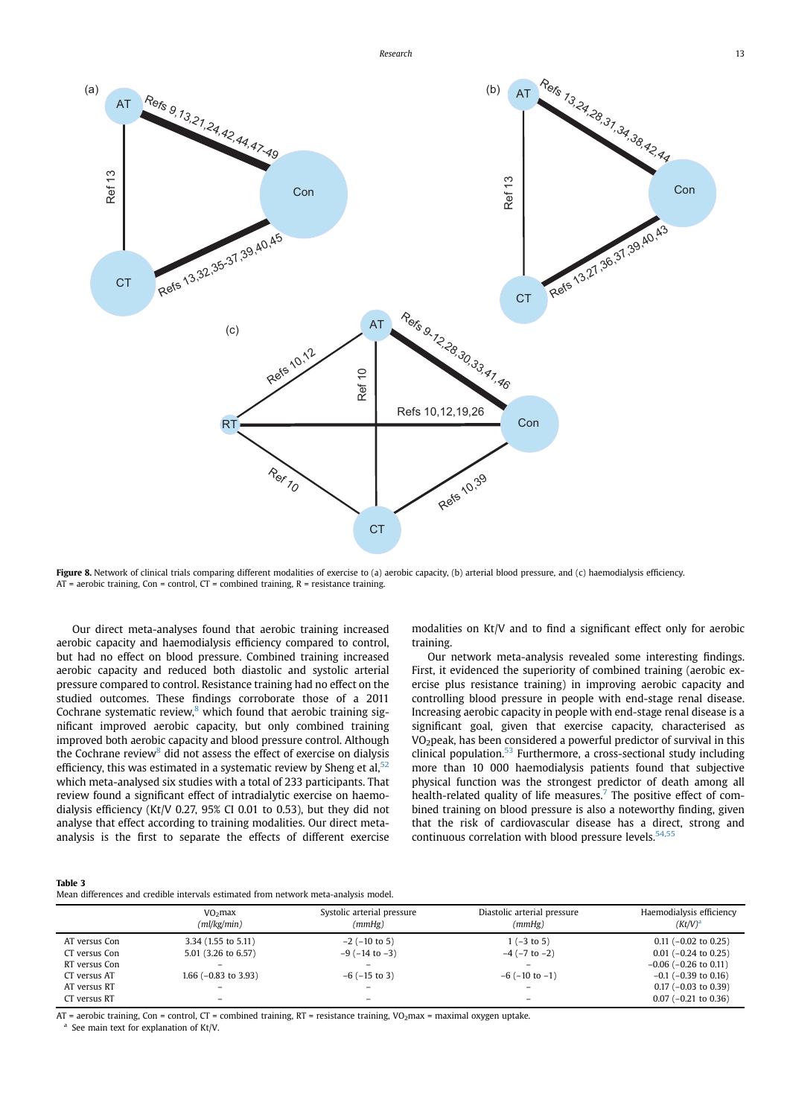<span id="page-9-0"></span>

Figure 8. Network of clinical trials comparing different modalities of exercise to (a) aerobic capacity, (b) arterial blood pressure, and (c) haemodialysis efficiency.  $AT$  = aerobic training, Con = control,  $CT$  = combined training,  $R$  = resistance training.

Our direct meta-analyses found that aerobic training increased aerobic capacity and haemodialysis efficiency compared to control, but had no effect on blood pressure. Combined training increased aerobic capacity and reduced both diastolic and systolic arterial pressure compared to control. Resistance training had no effect on the studied outcomes. These findings corroborate those of a 2011 Cochrane systematic review, $8$  which found that aerobic training significant improved aerobic capacity, but only combined training improved both aerobic capacity and blood pressure control. Although the Cochrane review<sup>[8](#page-10-0)</sup> did not assess the effect of exercise on dialysis efficiency, this was estimated in a systematic review by Sheng et al,  $52$ which meta-analysed six studies with a total of 233 participants. That review found a significant effect of intradialytic exercise on haemodialysis efficiency (Kt/V 0.27, 95% CI 0.01 to 0.53), but they did not analyse that effect according to training modalities. Our direct metaanalysis is the first to separate the effects of different exercise modalities on Kt/V and to find a significant effect only for aerobic training.

Our network meta-analysis revealed some interesting findings. First, it evidenced the superiority of combined training (aerobic exercise plus resistance training) in improving aerobic capacity and controlling blood pressure in people with end-stage renal disease. Increasing aerobic capacity in people with end-stage renal disease is a significant goal, given that exercise capacity, characterised as  $VO<sub>2</sub>peak$ , has been considered a powerful predictor of survival in this clinical population. $53$  Furthermore, a cross-sectional study including more than 10 000 haemodialysis patients found that subjective physical function was the strongest predictor of death among all health-related quality of life measures.<sup>[7](#page-10-0)</sup> The positive effect of combined training on blood pressure is also a noteworthy finding, given that the risk of cardiovascular disease has a direct, strong and continuous correlation with blood pressure levels. $54,55$ 

| $\sim$<br> | $\sim$ |
|------------|--------|
|------------|--------|

Mean differences and credible intervals estimated from network meta-analysis model.

|               | VO <sub>2</sub> max<br>(ml/kg/min) | Systolic arterial pressure<br>(mmHg) | Diastolic arterial pressure<br>(mmHg) | Haemodialysis efficiency<br>$(Kt/V)^a$ |
|---------------|------------------------------------|--------------------------------------|---------------------------------------|----------------------------------------|
| AT versus Con | 3.34 (1.55 to 5.11)                | $-2$ ( $-10$ to 5)                   | $1(-3 \text{ to } 5)$                 | $0.11$ (-0.02 to 0.25)                 |
| CT versus Con | 5.01 (3.26 to 6.57)                | $-9$ ( $-14$ to $-3$ )               | $-4$ ( $-7$ to $-2$ )                 | $0.01$ (-0.24 to 0.25)                 |
| RT versus Con |                                    |                                      |                                       | $-0.06$ ( $-0.26$ to 0.11)             |
| CT versus AT  | 1.66 $(-0.83$ to 3.93)             | $-6$ ( $-15$ to 3)                   | $-6$ ( $-10$ to $-1$ )                | $-0.1$ ( $-0.39$ to 0.16)              |
| AT versus RT  |                                    |                                      | $\overline{\phantom{a}}$              | $0.17$ (-0.03 to 0.39)                 |
| CT versus RT  |                                    |                                      | -                                     | $0.07$ (-0.21 to 0.36)                 |

AT = aerobic training, Con = control, CT = combined training, RT = resistance training, VO<sub>2</sub>max = maximal oxygen uptake. <sup>a</sup> See main text for explanation of Kt/V.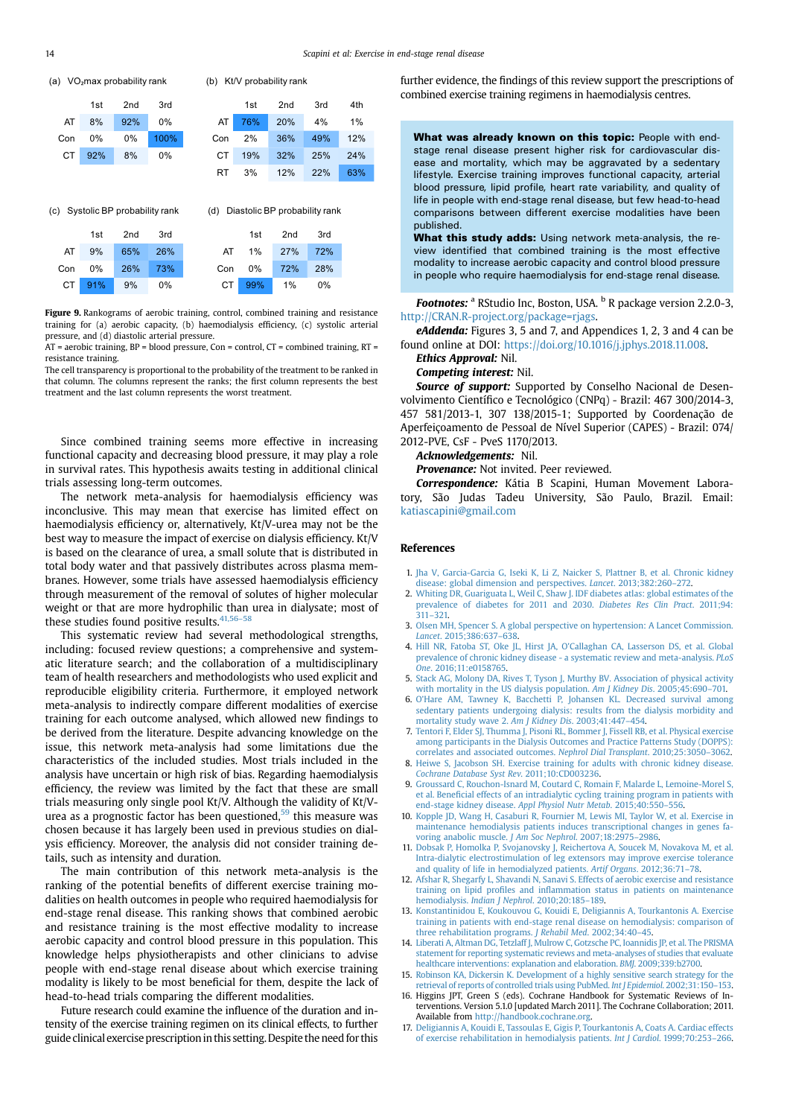<span id="page-10-0"></span>(a) VO₂max probability rank

| 1st<br>2 <sub>nd</sub><br>1st<br>2 <sub>nd</sub><br>3rd<br>3rd<br>8%<br>76%<br>92%<br>$0\%$<br>AT<br>20%<br>4%<br>1%<br>AT<br>100%<br>$0\%$<br>$0\%$<br>2%<br>49%<br>Con<br>36%<br>Con<br>92%<br><b>CT</b><br>19%<br><b>CT</b><br>8%<br>$0\%$<br>25%<br>32%<br><b>RT</b><br>3%<br>12%<br>22%<br>Systolic BP probability rank<br>Diastolic BP probability rank<br>(c)<br>(d)<br>1st<br>2 <sub>nd</sub><br>2 <sub>nd</sub><br>3rd<br>1st<br>3rd<br>9%<br>1%<br>72%<br>AT<br>65%<br>26%<br>AT<br>27%<br>$0\%$<br>73%<br>0%<br>72%<br>28%<br>26%<br>Con<br>Con |                                                          | 4th |  |  |  |  |  |  |  |
|------------------------------------------------------------------------------------------------------------------------------------------------------------------------------------------------------------------------------------------------------------------------------------------------------------------------------------------------------------------------------------------------------------------------------------------------------------------------------------------------------------------------------------------------------------|----------------------------------------------------------|-----|--|--|--|--|--|--|--|
|                                                                                                                                                                                                                                                                                                                                                                                                                                                                                                                                                            |                                                          |     |  |  |  |  |  |  |  |
|                                                                                                                                                                                                                                                                                                                                                                                                                                                                                                                                                            |                                                          |     |  |  |  |  |  |  |  |
|                                                                                                                                                                                                                                                                                                                                                                                                                                                                                                                                                            |                                                          | 12% |  |  |  |  |  |  |  |
|                                                                                                                                                                                                                                                                                                                                                                                                                                                                                                                                                            |                                                          | 24% |  |  |  |  |  |  |  |
|                                                                                                                                                                                                                                                                                                                                                                                                                                                                                                                                                            |                                                          | 63% |  |  |  |  |  |  |  |
|                                                                                                                                                                                                                                                                                                                                                                                                                                                                                                                                                            |                                                          |     |  |  |  |  |  |  |  |
|                                                                                                                                                                                                                                                                                                                                                                                                                                                                                                                                                            |                                                          |     |  |  |  |  |  |  |  |
|                                                                                                                                                                                                                                                                                                                                                                                                                                                                                                                                                            |                                                          |     |  |  |  |  |  |  |  |
|                                                                                                                                                                                                                                                                                                                                                                                                                                                                                                                                                            |                                                          |     |  |  |  |  |  |  |  |
|                                                                                                                                                                                                                                                                                                                                                                                                                                                                                                                                                            | 91%<br>99%<br>1%<br><b>CT</b><br>9%<br>$0\%$<br>СT<br>0% |     |  |  |  |  |  |  |  |

(b) Kt/V probability rank

Figure 9. Rankograms of aerobic training, control, combined training and resistance training for (a) aerobic capacity, (b) haemodialysis efficiency, (c) systolic arterial pressure, and (d) diastolic arterial pressure.

AT = aerobic training, BP = blood pressure, Con = control, CT = combined training, RT = resistance training.

The cell transparency is proportional to the probability of the treatment to be ranked in that column. The columns represent the ranks; the first column represents the best treatment and the last column represents the worst treatment.

Since combined training seems more effective in increasing functional capacity and decreasing blood pressure, it may play a role in survival rates. This hypothesis awaits testing in additional clinical trials assessing long-term outcomes.

The network meta-analysis for haemodialysis efficiency was inconclusive. This may mean that exercise has limited effect on haemodialysis efficiency or, alternatively, Kt/V-urea may not be the best way to measure the impact of exercise on dialysis efficiency. Kt/V is based on the clearance of urea, a small solute that is distributed in total body water and that passively distributes across plasma membranes. However, some trials have assessed haemodialysis efficiency through measurement of the removal of solutes of higher molecular weight or that are more hydrophilic than urea in dialysate; most of these studies found positive results. $41,56-58$ 

This systematic review had several methodological strengths, including: focused review questions; a comprehensive and systematic literature search; and the collaboration of a multidisciplinary team of health researchers and methodologists who used explicit and reproducible eligibility criteria. Furthermore, it employed network meta-analysis to indirectly compare different modalities of exercise training for each outcome analysed, which allowed new findings to be derived from the literature. Despite advancing knowledge on the issue, this network meta-analysis had some limitations due the characteristics of the included studies. Most trials included in the analysis have uncertain or high risk of bias. Regarding haemodialysis efficiency, the review was limited by the fact that these are small trials measuring only single pool Kt/V. Although the validity of Kt/V-urea as a prognostic factor has been questioned,<sup>[59](#page-11-0)</sup> this measure was chosen because it has largely been used in previous studies on dialysis efficiency. Moreover, the analysis did not consider training details, such as intensity and duration.

The main contribution of this network meta-analysis is the ranking of the potential benefits of different exercise training modalities on health outcomes in people who required haemodialysis for end-stage renal disease. This ranking shows that combined aerobic and resistance training is the most effective modality to increase aerobic capacity and control blood pressure in this population. This knowledge helps physiotherapists and other clinicians to advise people with end-stage renal disease about which exercise training modality is likely to be most beneficial for them, despite the lack of head-to-head trials comparing the different modalities.

Future research could examine the influence of the duration and intensity of the exercise training regimen on its clinical effects, to further guide clinical exercise prescription in this setting. Despite the need for this further evidence, the findings of this review support the prescriptions of combined exercise training regimens in haemodialysis centres.

What was already known on this topic: People with endstage renal disease present higher risk for cardiovascular disease and mortality, which may be aggravated by a sedentary lifestyle. Exercise training improves functional capacity, arterial blood pressure, lipid profile, heart rate variability, and quality of life in people with end-stage renal disease, but few head-to-head comparisons between different exercise modalities have been published.

What this study adds: Using network meta-analysis, the review identified that combined training is the most effective modality to increase aerobic capacity and control blood pressure in people who require haemodialysis for end-stage renal disease.

Footnotes: a RStudio Inc, Boston, USA. <sup>b</sup> R package version 2.2.0-3, [http://CRAN.R-project.org/package=rjags.](http://CRAN.R-project.org/package=rjags)

eAddenda: Figures 3, 5 and 7, and Appendices 1, 2, 3 and 4 can be found online at DOI: [https://doi.org/10.1016/j.jphys.2018.11.008.](https://doi.org/10.1016/j.jphys.2018.11.008)

Ethics Approval: Nil.

Competing interest: Nil.

Source of support: Supported by Conselho Nacional de Desenvolvimento Científico e Tecnológico (CNPq) - Brazil: 467 300/2014-3, 457 581/2013-1, 307 138/2015-1; Supported by Coordenação de Aperfeiçoamento de Pessoal de Nível Superior (CAPES) - Brazil: 074/ 2012-PVE, CsF - PveS 1170/2013.

Acknowledgements: Nil.

Provenance: Not invited. Peer reviewed.

Correspondence: Kátia B Scapini, Human Movement Laboratory, São Judas Tadeu University, São Paulo, Brazil. Email: [katiascapini@gmail.com](mailto:katiascapini@gmail.com)

## References

- 1. [Jha V, Garcia-Garcia G, Iseki K, Li Z, Naicker S, Plattner B, et al. Chronic kidney](http://refhub.elsevier.com/S1836-9553(18)30151-6/sref1)
- [disease: global dimension and perspectives.](http://refhub.elsevier.com/S1836-9553(18)30151-6/sref1) Lancet. 2013;382:260–272. 2. [Whiting DR, Guariguata L, Weil C, Shaw J. IDF diabetes atlas: global estimates of the](http://refhub.elsevier.com/S1836-9553(18)30151-6/sref2) [prevalence of diabetes for 2011 and 2030.](http://refhub.elsevier.com/S1836-9553(18)30151-6/sref2) Diabetes Res Clin Pract. 2011;94: 311–[321.](http://refhub.elsevier.com/S1836-9553(18)30151-6/sref2)
- 3. [Olsen MH, Spencer S. A global perspective on hypertension: A Lancet Commission.](http://refhub.elsevier.com/S1836-9553(18)30151-6/sref3) Lancet[. 2015;386:637](http://refhub.elsevier.com/S1836-9553(18)30151-6/sref3)–638.
- 4. Hill NR, Fatoba ST, Oke JL, Hirst JA, O'[Callaghan CA, Lasserson DS, et al. Global](http://refhub.elsevier.com/S1836-9553(18)30151-6/sref4) [prevalence of chronic kidney disease - a systematic review and meta-analysis.](http://refhub.elsevier.com/S1836-9553(18)30151-6/sref4) PLoS One[. 2016;11:e0158765](http://refhub.elsevier.com/S1836-9553(18)30151-6/sref4).
- 5. [Stack AG, Molony DA, Rives T, Tyson J, Murthy BV. Association of physical activity](http://refhub.elsevier.com/S1836-9553(18)30151-6/sref5) [with mortality in the US dialysis population.](http://refhub.elsevier.com/S1836-9553(18)30151-6/sref5) Am J Kidney Dis. 2005;45:690-701.
- 6. O'[Hare AM, Tawney K, Bacchetti P, Johansen KL. Decreased survival among](http://refhub.elsevier.com/S1836-9553(18)30151-6/sref6) [sedentary patients undergoing dialysis: results from the dialysis morbidity and](http://refhub.elsevier.com/S1836-9553(18)30151-6/sref6) [mortality study wave 2.](http://refhub.elsevier.com/S1836-9553(18)30151-6/sref6) Am J Kidney Dis. 2003;41:447–454.
- 7. [Tentori F, Elder SJ, Thumma J, Pisoni RL, Bommer J, Fissell RB, et al. Physical exercise](http://refhub.elsevier.com/S1836-9553(18)30151-6/sref7) [among participants in the Dialysis Outcomes and Practice Patterns Study \(DOPPS\):](http://refhub.elsevier.com/S1836-9553(18)30151-6/sref7) [correlates and associated outcomes.](http://refhub.elsevier.com/S1836-9553(18)30151-6/sref7) Nephrol Dial Transplant. 2010;25:3050–3062.
- 8. [Heiwe S, Jacobson SH. Exercise training for adults with chronic kidney disease.](http://refhub.elsevier.com/S1836-9553(18)30151-6/sref8) [Cochrane Database Syst Rev](http://refhub.elsevier.com/S1836-9553(18)30151-6/sref8). 2011;10:CD003236.
- 9. [Groussard C, Rouchon-Isnard M, Coutard C, Romain F, Malarde L, Lemoine-Morel S,](http://refhub.elsevier.com/S1836-9553(18)30151-6/sref9) et al. Benefi[cial effects of an intradialytic cycling training program in patients with](http://refhub.elsevier.com/S1836-9553(18)30151-6/sref9) [end-stage kidney disease.](http://refhub.elsevier.com/S1836-9553(18)30151-6/sref9) Appl Physiol Nutr Metab. 2015;40:550–556.
- 10. [Kopple JD, Wang H, Casaburi R, Fournier M, Lewis MI, Taylor W, et al. Exercise in](http://refhub.elsevier.com/S1836-9553(18)30151-6/sref10) [maintenance hemodialysis patients induces transcriptional changes in genes fa](http://refhub.elsevier.com/S1836-9553(18)30151-6/sref10)[voring anabolic muscle.](http://refhub.elsevier.com/S1836-9553(18)30151-6/sref10) J Am Soc Nephrol. 2007;18:2975–2986.
- 11. [Dobsak P, Homolka P, Svojanovsky J, Reichertova A, Soucek M, Novakova M, et al.](http://refhub.elsevier.com/S1836-9553(18)30151-6/sref11) [Intra-dialytic electrostimulation of leg extensors may improve exercise tolerance](http://refhub.elsevier.com/S1836-9553(18)30151-6/sref11) [and quality of life in hemodialyzed patients.](http://refhub.elsevier.com/S1836-9553(18)30151-6/sref11) Artif Organs. 2012;36:71–78.
- 12. [Afshar R, Shegarfy L, Shavandi N, Sanavi S. Effects of aerobic exercise and resistance](http://refhub.elsevier.com/S1836-9553(18)30151-6/sref12) training on lipid profiles and infl[ammation status in patients on maintenance](http://refhub.elsevier.com/S1836-9553(18)30151-6/sref12) hemodialysis. [Indian J Nephrol](http://refhub.elsevier.com/S1836-9553(18)30151-6/sref12). 2010;20:185–189.
- 13. [Konstantinidou E, Koukouvou G, Kouidi E, Deligiannis A, Tourkantonis A. Exercise](http://refhub.elsevier.com/S1836-9553(18)30151-6/sref13) [training in patients with end-stage renal disease on hemodialysis: comparison of](http://refhub.elsevier.com/S1836-9553(18)30151-6/sref13)
- [three rehabilitation programs.](http://refhub.elsevier.com/S1836-9553(18)30151-6/sref13) J Rehabil Med. 2002;34:40–45. 14. [Liberati A, Altman DG, Tetzlaff J, Mulrow C, Gotzsche PC, Ioannidis JP, et al. The PRISMA](http://refhub.elsevier.com/S1836-9553(18)30151-6/sref14) [statement for reporting systematic reviews and meta-analyses of studies that evaluate](http://refhub.elsevier.com/S1836-9553(18)30151-6/sref14) [healthcare interventions: explanation and elaboration.](http://refhub.elsevier.com/S1836-9553(18)30151-6/sref14) BMJ. 2009;339:b2700.
- 15. [Robinson KA, Dickersin K. Development of a highly sensitive search strategy for the](http://refhub.elsevier.com/S1836-9553(18)30151-6/sref15) [retrieval of reports of controlled trials using PubMed.](http://refhub.elsevier.com/S1836-9553(18)30151-6/sref15) Int J Epidemiol. 2002;31:150–153. 16. Higgins JPT, Green S (eds). Cochrane Handbook for Systematic Reviews of In-
- terventions. Version 5.1.0 [updated March 2011]. The Cochrane Collaboration; 2011. Available from <http://handbook.cochrane.org>.
- 17. [Deligiannis A, Kouidi E, Tassoulas E, Gigis P, Tourkantonis A, Coats A. Cardiac effects](http://refhub.elsevier.com/S1836-9553(18)30151-6/sref17) [of exercise rehabilitation in hemodialysis patients.](http://refhub.elsevier.com/S1836-9553(18)30151-6/sref17) Int J Cardiol. 1999;70:253–266.